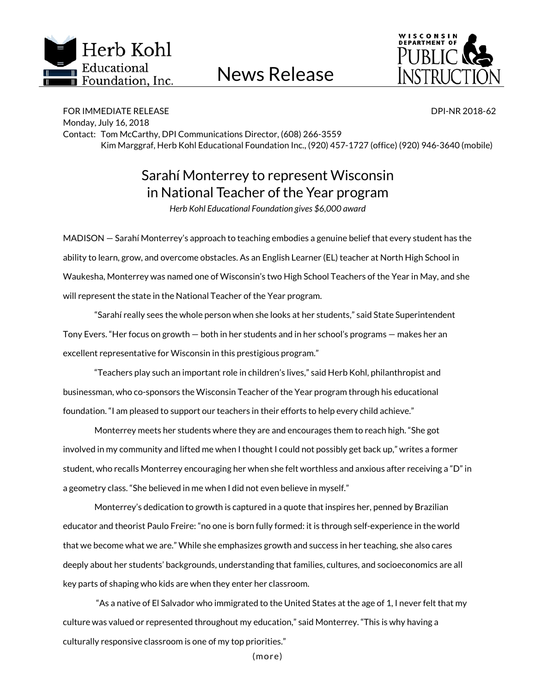

News Release



FOR IMMEDIATE RELEASE DPI-NR 2018-62 Monday, July 16, 2018 Contact: Tom McCarthy, DPI Communications Director, (608) 266-3559 Kim Marggraf, Herb Kohl Educational Foundation Inc., (920) 457-1727 (office) (920) 946-3640 (mobile)

## Sarahí Monterrey to represent Wisconsin in National Teacher of the Year program

*Herb Kohl Educational Foundation gives \$6,000 award*

MADISON — Sarahí Monterrey's approach to teaching embodies a genuine belief that every student has the ability to learn, grow, and overcome obstacles. As an English Learner (EL) teacher at North High School in Waukesha, Monterrey was named one of Wisconsin's two High School Teachers of the Year in May, and she will represent the state in the National Teacher of the Year program.

"Sarahí really sees the whole person when she looks at her students," said State Superintendent Tony Evers. "Her focus on growth — both in her students and in her school's programs — makes her an excellent representative for Wisconsin in this prestigious program."

"Teachers play such an important role in children's lives," said Herb Kohl, philanthropist and businessman, who co-sponsors the Wisconsin Teacher of the Year program through his educational foundation. "I am pleased to support our teachers in their efforts to help every child achieve."

Monterrey meets her students where they are and encourages them to reach high. "She got involved in my community and lifted me when I thought I could not possibly get back up," writes a former student, who recalls Monterrey encouraging her when she felt worthless and anxious after receiving a "D" in a geometry class. "She believed in me when I did not even believe in myself."

Monterrey's dedication to growth is captured in a quote that inspires her, penned by Brazilian educator and theorist Paulo Freire: "no one is born fully formed: it is through self-experience in the world that we become what we are." While she emphasizes growth and success in her teaching, she also cares deeply about her students' backgrounds, understanding that families, cultures, and socioeconomics are all key parts of shaping who kids are when they enter her classroom.

"As a native of El Salvador who immigrated to the United States at the age of 1, I never felt that my culture was valued or represented throughout my education," said Monterrey. "This is why having a culturally responsive classroom is one of my top priorities."

(more)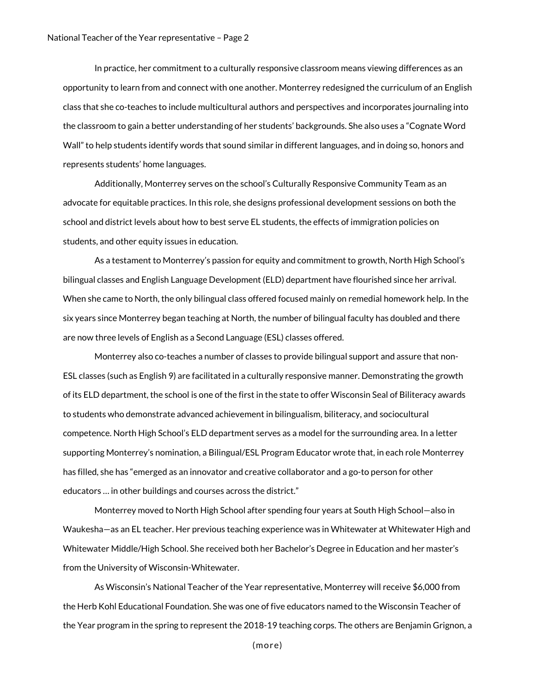In practice, her commitment to a culturally responsive classroom means viewing differences as an opportunity to learn from and connect with one another. Monterrey redesigned the curriculum of an English class that she co-teaches to include multicultural authors and perspectives and incorporates journaling into the classroom to gain a better understanding of her students' backgrounds. She also uses a "Cognate Word Wall" to help students identify words that sound similar in different languages, and in doing so, honors and represents students' home languages.

Additionally, Monterrey serves on the school's Culturally Responsive Community Team as an advocate for equitable practices. In this role, she designs professional development sessions on both the school and district levels about how to best serve EL students, the effects of immigration policies on students, and other equity issues in education.

As a testament to Monterrey's passion for equity and commitment to growth, North High School's bilingual classes and English Language Development (ELD) department have flourished since her arrival. When she came to North, the only bilingual class offered focused mainly on remedial homework help. In the six years since Monterrey began teaching at North, the number of bilingual faculty has doubled and there are now three levels of English as a Second Language (ESL) classes offered.

Monterrey also co-teaches a number of classes to provide bilingual support and assure that non-ESL classes (such as English 9) are facilitated in a culturally responsive manner. Demonstrating the growth of its ELD department, the school is one of the first in the state to offer Wisconsin Seal of Biliteracy awards to students who demonstrate advanced achievement in bilingualism, biliteracy, and sociocultural competence. North High School's ELD department serves as a model for the surrounding area. In a letter supporting Monterrey's nomination, a Bilingual/ESL Program Educator wrote that, in each role Monterrey has filled, she has "emerged as an innovator and creative collaborator and a go-to person for other educators … in other buildings and courses across the district."

Monterrey moved to North High School after spending four years at South High School—also in Waukesha—as an EL teacher. Her previous teaching experience was in Whitewater at Whitewater High and Whitewater Middle/High School. She received both her Bachelor's Degree in Education and her master's from the University of Wisconsin-Whitewater.

As Wisconsin's National Teacher of the Year representative, Monterrey will receive \$6,000 from the Herb Kohl Educational Foundation. She was one of five educators named to the Wisconsin Teacher of the Year program in the spring to represent the 2018-19 teaching corps. The others are Benjamin Grignon, a

(more)